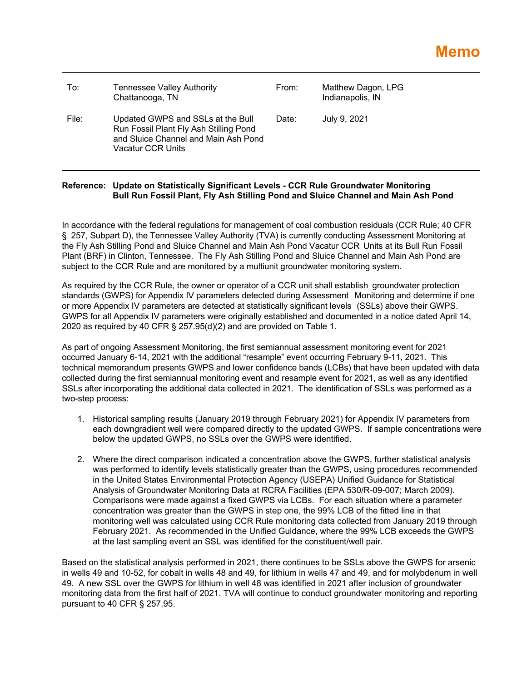| To:   | Tennessee Valley Authority<br>Chattanooga, TN                                                                                            | From: | Matthew Dagon, LPG<br>Indianapolis, IN |
|-------|------------------------------------------------------------------------------------------------------------------------------------------|-------|----------------------------------------|
| File: | Updated GWPS and SSLs at the Bull<br>Run Fossil Plant Fly Ash Stilling Pond<br>and Sluice Channel and Main Ash Pond<br>Vacatur CCR Units | Date: | July 9, 2021                           |

## **Reference: Update on Statistically Significant Levels - CCR Rule Groundwater Monitoring Bull Run Fossil Plant, Fly Ash Stilling Pond and Sluice Channel and Main Ash Pond**

In accordance with the federal regulations for management of coal combustion residuals (CCR Rule; 40 CFR § 257, Subpart D), the Tennessee Valley Authority (TVA) is currently conducting Assessment Monitoring at the Fly Ash Stilling Pond and Sluice Channel and Main Ash Pond Vacatur CCR Units at its Bull Run Fossil Plant (BRF) in Clinton, Tennessee. The Fly Ash Stilling Pond and Sluice Channel and Main Ash Pond are subject to the CCR Rule and are monitored by a multiunit groundwater monitoring system.

As required by the CCR Rule, the owner or operator of a CCR unit shall establish groundwater protection standards (GWPS) for Appendix IV parameters detected during Assessment Monitoring and determine if one or more Appendix IV parameters are detected at statistically significant levels (SSLs) above their GWPS. GWPS for all Appendix IV parameters were originally established and documented in a notice dated April 14, 2020 as required by 40 CFR § 257.95(d)(2) and are provided on Table 1.

As part of ongoing Assessment Monitoring, the first semiannual assessment monitoring event for 2021 occurred January 6-14, 2021 with the additional "resample" event occurring February 9-11, 2021. This technical memorandum presents GWPS and lower confidence bands (LCBs) that have been updated with data collected during the first semiannual monitoring event and resample event for 2021, as well as any identified SSLs after incorporating the additional data collected in 2021. The identification of SSLs was performed as a two-step process:

- 1. Historical sampling results (January 2019 through February 2021) for Appendix IV parameters from each downgradient well were compared directly to the updated GWPS. If sample concentrations were below the updated GWPS, no SSLs over the GWPS were identified.
- 2. Where the direct comparison indicated a concentration above the GWPS, further statistical analysis was performed to identify levels statistically greater than the GWPS, using procedures recommended in the United States Environmental Protection Agency (USEPA) Unified Guidance for Statistical Analysis of Groundwater Monitoring Data at RCRA Facilities (EPA 530/R-09-007; March 2009). Comparisons were made against a fixed GWPS via LCBs. For each situation where a parameter concentration was greater than the GWPS in step one, the 99% LCB of the fitted line in that monitoring well was calculated using CCR Rule monitoring data collected from January 2019 through February 2021. As recommended in the Unified Guidance, where the 99% LCB exceeds the GWPS at the last sampling event an SSL was identified for the constituent/well pair.

Based on the statistical analysis performed in 2021, there continues to be SSLs above the GWPS for arsenic in wells 49 and 10-52, for cobalt in wells 48 and 49, for lithium in wells 47 and 49, and for molybdenum in well 49. A new SSL over the GWPS for lithium in well 48 was identified in 2021 after inclusion of groundwater monitoring data from the first half of 2021. TVA will continue to conduct groundwater monitoring and reporting pursuant to 40 CFR § 257.95.